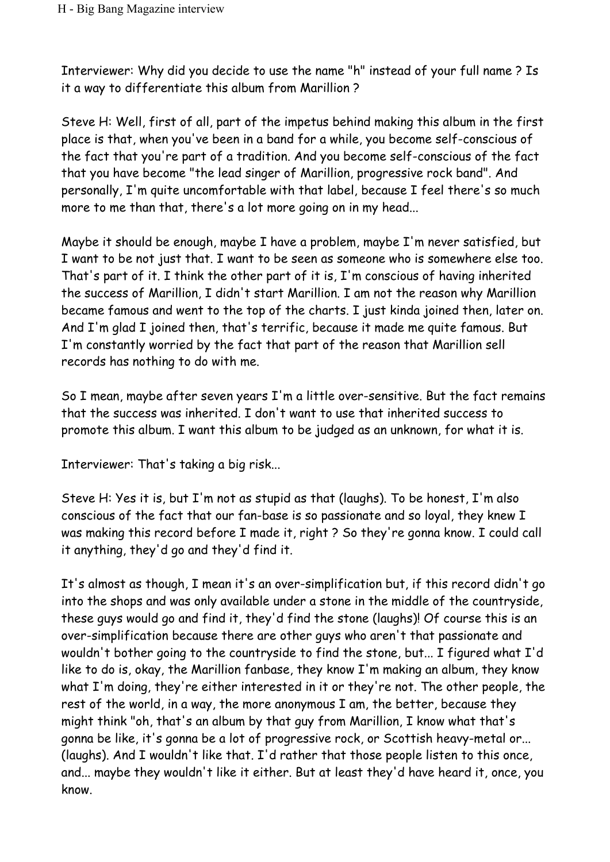Interviewer: Why did you decide to use the name "h" instead of your full name ? Is it a way to differentiate this album from Marillion ?

Steve H: Well, first of all, part of the impetus behind making this album in the first place is that, when you've been in a band for a while, you become self-conscious of the fact that you're part of a tradition. And you become self-conscious of the fact that you have become "the lead singer of Marillion, progressive rock band". And personally, I'm quite uncomfortable with that label, because I feel there's so much more to me than that, there's a lot more going on in my head...

Maybe it should be enough, maybe I have a problem, maybe I'm never satisfied, but I want to be not just that. I want to be seen as someone who is somewhere else too. That's part of it. I think the other part of it is, I'm conscious of having inherited the success of Marillion, I didn't start Marillion. I am not the reason why Marillion became famous and went to the top of the charts. I just kinda joined then, later on. And I'm glad I joined then, that's terrific, because it made me quite famous. But I'm constantly worried by the fact that part of the reason that Marillion sell records has nothing to do with me.

So I mean, maybe after seven years I'm a little over-sensitive. But the fact remains that the success was inherited. I don't want to use that inherited success to promote this album. I want this album to be judged as an unknown, for what it is.

Interviewer: That's taking a big risk...

Steve H: Yes it is, but I'm not as stupid as that (laughs). To be honest, I'm also conscious of the fact that our fan-base is so passionate and so loyal, they knew I was making this record before I made it, right ? So they're gonna know. I could call it anything, they'd go and they'd find it.

It's almost as though, I mean it's an over-simplification but, if this record didn't go into the shops and was only available under a stone in the middle of the countryside, these guys would go and find it, they'd find the stone (laughs)! Of course this is an over-simplification because there are other guys who aren't that passionate and wouldn't bother going to the countryside to find the stone, but... I figured what I'd like to do is, okay, the Marillion fanbase, they know I'm making an album, they know what I'm doing, they're either interested in it or they're not. The other people, the rest of the world, in a way, the more anonymous I am, the better, because they might think "oh, that's an album by that guy from Marillion, I know what that's gonna be like, it's gonna be a lot of progressive rock, or Scottish heavy-metal or... (laughs). And I wouldn't like that. I'd rather that those people listen to this once, and... maybe they wouldn't like it either. But at least they'd have heard it, once, you know.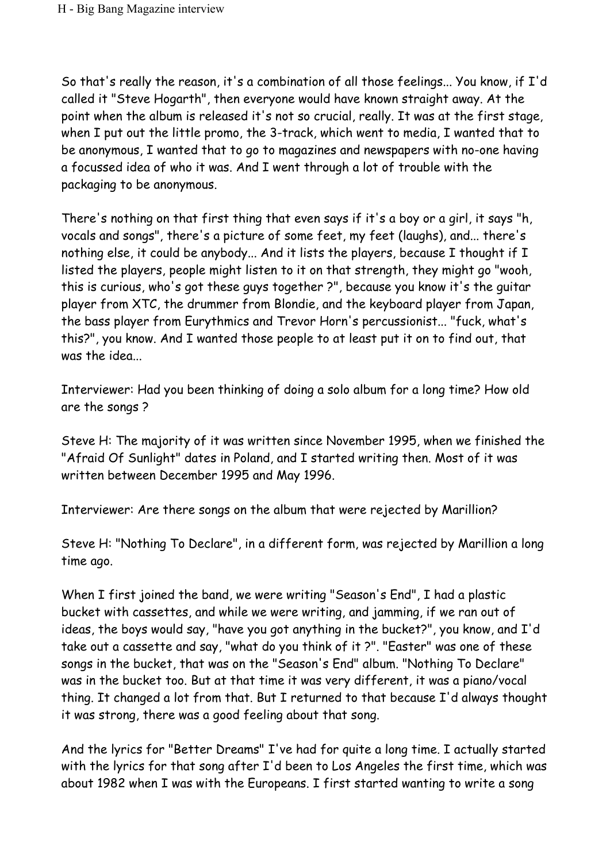So that's really the reason, it's a combination of all those feelings... You know, if I'd called it "Steve Hogarth", then everyone would have known straight away. At the point when the album is released it's not so crucial, really. It was at the first stage, when I put out the little promo, the 3-track, which went to media, I wanted that to be anonymous, I wanted that to go to magazines and newspapers with no-one having a focussed idea of who it was. And I went through a lot of trouble with the packaging to be anonymous.

There's nothing on that first thing that even says if it's a boy or a girl, it says "h, vocals and songs", there's a picture of some feet, my feet (laughs), and... there's nothing else, it could be anybody... And it lists the players, because I thought if I listed the players, people might listen to it on that strength, they might go "wooh, this is curious, who's got these guys together ?", because you know it's the guitar player from XTC, the drummer from Blondie, and the keyboard player from Japan, the bass player from Eurythmics and Trevor Horn's percussionist... "fuck, what's this?", you know. And I wanted those people to at least put it on to find out, that was the idea...

Interviewer: Had you been thinking of doing a solo album for a long time? How old are the songs ?

Steve H: The majority of it was written since November 1995, when we finished the "Afraid Of Sunlight" dates in Poland, and I started writing then. Most of it was written between December 1995 and May 1996.

Interviewer: Are there songs on the album that were rejected by Marillion?

Steve H: "Nothing To Declare", in a different form, was rejected by Marillion a long time ago.

When I first joined the band, we were writing "Season's End", I had a plastic bucket with cassettes, and while we were writing, and jamming, if we ran out of ideas, the boys would say, "have you got anything in the bucket?", you know, and I'd take out a cassette and say, "what do you think of it ?". "Easter" was one of these songs in the bucket, that was on the "Season's End" album. "Nothing To Declare" was in the bucket too. But at that time it was very different, it was a piano/vocal thing. It changed a lot from that. But I returned to that because I'd always thought it was strong, there was a good feeling about that song.

And the lyrics for "Better Dreams" I've had for quite a long time. I actually started with the lyrics for that song after I'd been to Los Angeles the first time, which was about 1982 when I was with the Europeans. I first started wanting to write a song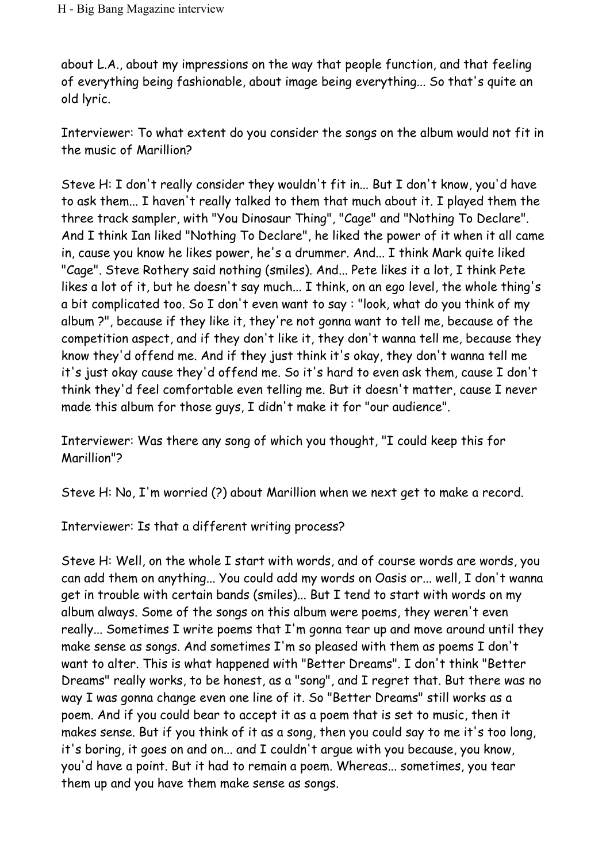about L.A., about my impressions on the way that people function, and that feeling of everything being fashionable, about image being everything... So that's quite an old lyric.

Interviewer: To what extent do you consider the songs on the album would not fit in the music of Marillion?

Steve H: I don't really consider they wouldn't fit in... But I don't know, you'd have to ask them... I haven't really talked to them that much about it. I played them the three track sampler, with "You Dinosaur Thing", "Cage" and "Nothing To Declare". And I think Ian liked "Nothing To Declare", he liked the power of it when it all came in, cause you know he likes power, he's a drummer. And... I think Mark quite liked "Cage". Steve Rothery said nothing (smiles). And... Pete likes it a lot, I think Pete likes a lot of it, but he doesn't say much... I think, on an ego level, the whole thing's a bit complicated too. So I don't even want to say : "look, what do you think of my album ?", because if they like it, they're not gonna want to tell me, because of the competition aspect, and if they don't like it, they don't wanna tell me, because they know they'd offend me. And if they just think it's okay, they don't wanna tell me it's just okay cause they'd offend me. So it's hard to even ask them, cause I don't think they'd feel comfortable even telling me. But it doesn't matter, cause I never made this album for those guys, I didn't make it for "our audience".

Interviewer: Was there any song of which you thought, "I could keep this for Marillion"?

Steve H: No, I'm worried (?) about Marillion when we next get to make a record.

Interviewer: Is that a different writing process?

Steve H: Well, on the whole I start with words, and of course words are words, you can add them on anything... You could add my words on Oasis or... well, I don't wanna get in trouble with certain bands (smiles)... But I tend to start with words on my album always. Some of the songs on this album were poems, they weren't even really... Sometimes I write poems that I'm gonna tear up and move around until they make sense as songs. And sometimes I'm so pleased with them as poems I don't want to alter. This is what happened with "Better Dreams". I don't think "Better Dreams" really works, to be honest, as a "song", and I regret that. But there was no way I was gonna change even one line of it. So "Better Dreams" still works as a poem. And if you could bear to accept it as a poem that is set to music, then it makes sense. But if you think of it as a song, then you could say to me it's too long, it's boring, it goes on and on... and I couldn't argue with you because, you know, you'd have a point. But it had to remain a poem. Whereas... sometimes, you tear them up and you have them make sense as songs.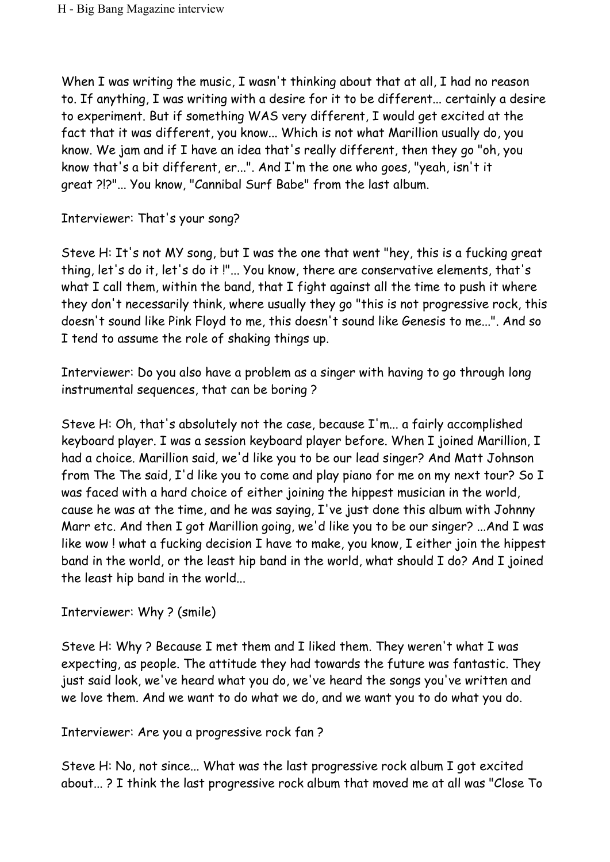When I was writing the music, I wasn't thinking about that at all, I had no reason to. If anything, I was writing with a desire for it to be different... certainly a desire to experiment. But if something WAS very different, I would get excited at the fact that it was different, you know... Which is not what Marillion usually do, you know. We jam and if I have an idea that's really different, then they go "oh, you know that's a bit different, er...". And I'm the one who goes, "yeah, isn't it great ?!?"... You know, "Cannibal Surf Babe" from the last album.

Interviewer: That's your song?

Steve H: It's not MY song, but I was the one that went "hey, this is a fucking great thing, let's do it, let's do it !"... You know, there are conservative elements, that's what I call them, within the band, that I fight against all the time to push it where they don't necessarily think, where usually they go "this is not progressive rock, this doesn't sound like Pink Floyd to me, this doesn't sound like Genesis to me...". And so I tend to assume the role of shaking things up.

Interviewer: Do you also have a problem as a singer with having to go through long instrumental sequences, that can be boring ?

Steve H: Oh, that's absolutely not the case, because I'm... a fairly accomplished keyboard player. I was a session keyboard player before. When I joined Marillion, I had a choice. Marillion said, we'd like you to be our lead singer? And Matt Johnson from The The said, I'd like you to come and play piano for me on my next tour? So I was faced with a hard choice of either joining the hippest musician in the world, cause he was at the time, and he was saying, I've just done this album with Johnny Marr etc. And then I got Marillion going, we'd like you to be our singer? ...And I was like wow ! what a fucking decision I have to make, you know, I either join the hippest band in the world, or the least hip band in the world, what should I do? And I joined the least hip band in the world...

## Interviewer: Why ? (smile)

Steve H: Why ? Because I met them and I liked them. They weren't what I was expecting, as people. The attitude they had towards the future was fantastic. They just said look, we've heard what you do, we've heard the songs you've written and we love them. And we want to do what we do, and we want you to do what you do.

Interviewer: Are you a progressive rock fan ?

Steve H: No, not since... What was the last progressive rock album I got excited about... ? I think the last progressive rock album that moved me at all was "Close To